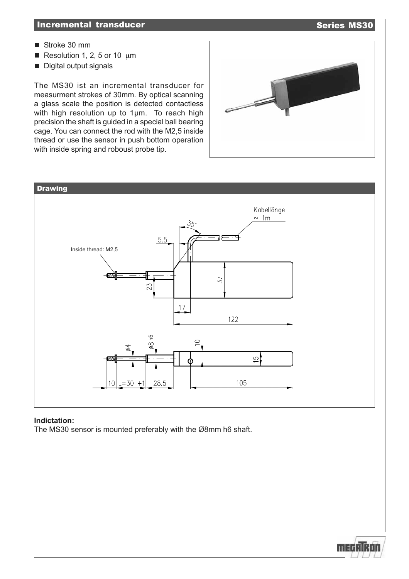- Stroke 30 mm
- Resolution 1, 2, 5 or 10  $\mu$ m
- Digital output signals

The MS30 ist an incremental transducer for measurment strokes of 30mm. By optical scanning a glass scale the position is detected contactless with high resolution up to 1µm. To reach high precision the shaft is guided in a special ball bearing cage. You can connect the rod with the M2,5 inside thread or use the sensor in push bottom operation with inside spring and roboust probe tip.





### **Indictation:**

The MS30 sensor is mounted preferably with the Ø8mm h6 shaft.